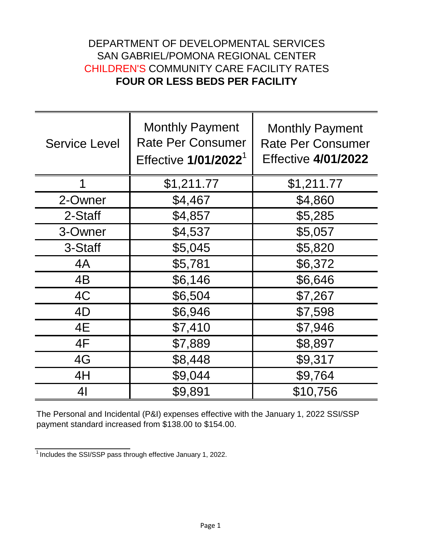## DEPARTMENT OF DEVELOPMENTAL SERVICES SAN GABRIEL/POMONA REGIONAL CENTER CHILDREN'S COMMUNITY CARE FACILITY RATES **FOUR OR LESS BEDS PER FACILITY**

| <b>Service Level</b> | <b>Monthly Payment</b><br><b>Rate Per Consumer</b><br>Effective 1/01/2022 <sup>1</sup> | <b>Monthly Payment</b><br><b>Rate Per Consumer</b><br><b>Effective 4/01/2022</b> |
|----------------------|----------------------------------------------------------------------------------------|----------------------------------------------------------------------------------|
| 1                    | \$1,211.77                                                                             | \$1,211.77                                                                       |
| 2-Owner              | \$4,467                                                                                | \$4,860                                                                          |
| 2-Staff              | \$4,857                                                                                | \$5,285                                                                          |
| 3-Owner              | \$4,537                                                                                | \$5,057                                                                          |
| 3-Staff              | \$5,045                                                                                | \$5,820                                                                          |
| 4A                   | \$5,781                                                                                | \$6,372                                                                          |
| 4B                   | \$6,146                                                                                | \$6,646                                                                          |
| 4C                   | \$6,504                                                                                | \$7,267                                                                          |
| 4D                   | \$6,946                                                                                | \$7,598                                                                          |
| 4E                   | \$7,410                                                                                | \$7,946                                                                          |
| 4F                   | \$7,889                                                                                | \$8,897                                                                          |
| 4G                   | \$8,448                                                                                | \$9,317                                                                          |
| 4H                   | \$9,044                                                                                | \$9,764                                                                          |
| 4 <sub>l</sub>       | \$9,891                                                                                | \$10,756                                                                         |

The Personal and Incidental (P&I) expenses effective with the January 1, 2022 SSI/SSP payment standard increased from \$138.00 to \$154.00.

 $1$ Includes the SSI/SSP pass through effective January 1, 2022.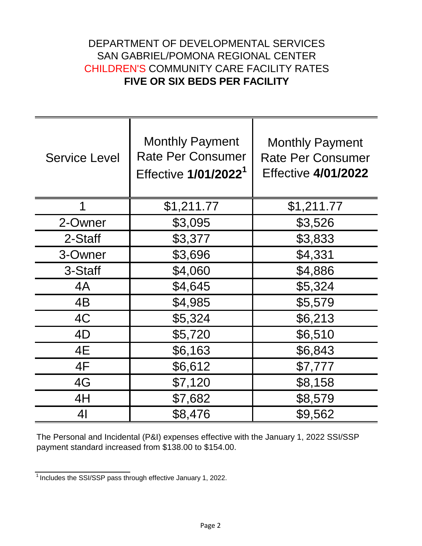## DEPARTMENT OF DEVELOPMENTAL SERVICES SAN GABRIEL/POMONA REGIONAL CENTER CHILDREN'S COMMUNITY CARE FACILITY RATES **FIVE OR SIX BEDS PER FACILITY**

| <b>Service Level</b> | <b>Monthly Payment</b><br><b>Rate Per Consumer</b><br>Effective 1/01/2022 <sup>1</sup> | <b>Monthly Payment</b><br><b>Rate Per Consumer</b><br><b>Effective 4/01/2022</b> |
|----------------------|----------------------------------------------------------------------------------------|----------------------------------------------------------------------------------|
| 1                    | \$1,211.77                                                                             | \$1,211.77                                                                       |
| 2-Owner              | \$3,095                                                                                | \$3,526                                                                          |
| 2-Staff              | \$3,377                                                                                | \$3,833                                                                          |
| 3-Owner              | \$3,696                                                                                | \$4,331                                                                          |
| 3-Staff              | \$4,060                                                                                | \$4,886                                                                          |
| 4A                   | \$4,645                                                                                | \$5,324                                                                          |
| 4B                   | \$4,985                                                                                | \$5,579                                                                          |
| 4C                   | \$5,324                                                                                | \$6,213                                                                          |
| 4D                   | \$5,720                                                                                | \$6,510                                                                          |
| 4E                   | \$6,163                                                                                | \$6,843                                                                          |
| 4F                   | \$6,612                                                                                | \$7,777                                                                          |
| 4G                   | \$7,120                                                                                | \$8,158                                                                          |
| 4H                   | \$7,682                                                                                | \$8,579                                                                          |
| 41                   | \$8,476                                                                                | \$9,562                                                                          |

The Personal and Incidental (P&I) expenses effective with the January 1, 2022 SSI/SSP payment standard increased from \$138.00 to \$154.00.

 $\frac{1}{1}$  Includes the SSI/SSP pass through effective January 1, 2022.